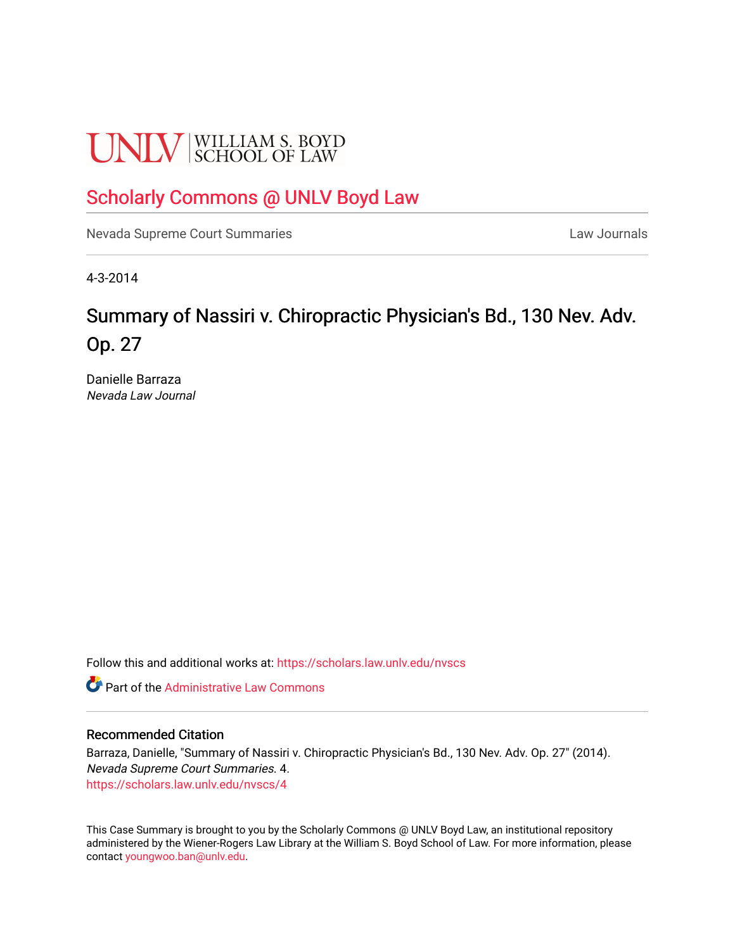# **UNLV** SCHOOL OF LAW

# [Scholarly Commons @ UNLV Boyd Law](https://scholars.law.unlv.edu/)

[Nevada Supreme Court Summaries](https://scholars.law.unlv.edu/nvscs) **Law Journals** Law Journals

4-3-2014

# Summary of Nassiri v. Chiropractic Physician's Bd., 130 Nev. Adv. Op. 27

Danielle Barraza Nevada Law Journal

Follow this and additional works at: [https://scholars.law.unlv.edu/nvscs](https://scholars.law.unlv.edu/nvscs?utm_source=scholars.law.unlv.edu%2Fnvscs%2F4&utm_medium=PDF&utm_campaign=PDFCoverPages)

**C** Part of the Administrative Law Commons

# Recommended Citation

Barraza, Danielle, "Summary of Nassiri v. Chiropractic Physician's Bd., 130 Nev. Adv. Op. 27" (2014). Nevada Supreme Court Summaries. 4. [https://scholars.law.unlv.edu/nvscs/4](https://scholars.law.unlv.edu/nvscs/4?utm_source=scholars.law.unlv.edu%2Fnvscs%2F4&utm_medium=PDF&utm_campaign=PDFCoverPages) 

This Case Summary is brought to you by the Scholarly Commons @ UNLV Boyd Law, an institutional repository administered by the Wiener-Rogers Law Library at the William S. Boyd School of Law. For more information, please contact [youngwoo.ban@unlv.edu](mailto:youngwoo.ban@unlv.edu).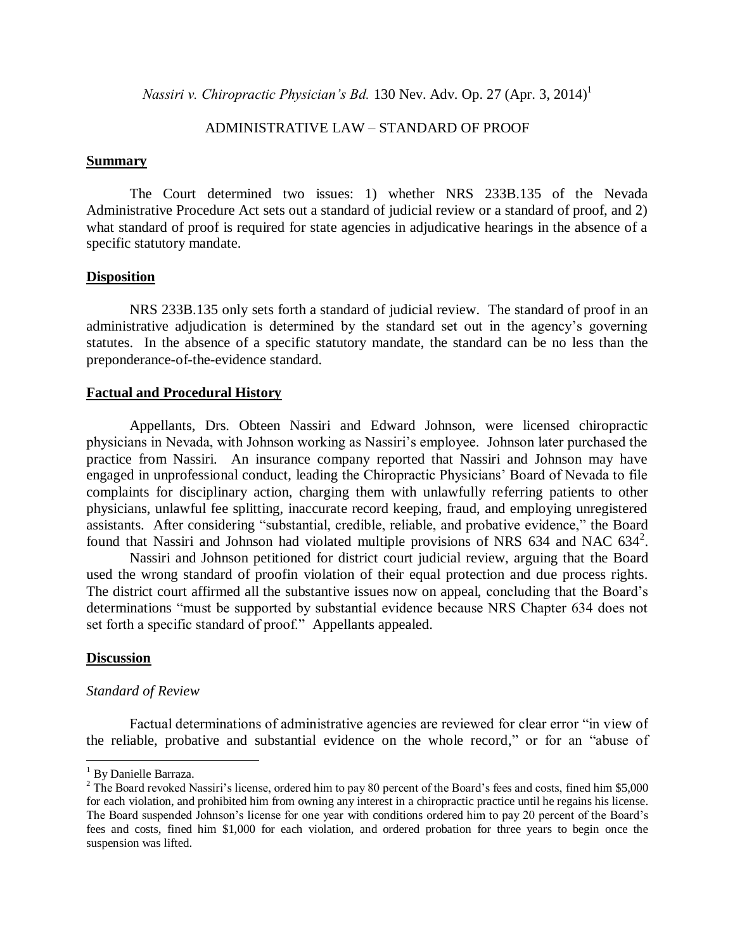*Nassiri v. Chiropractic Physician's Bd.* 130 Nev. Adv. Op. 27 (Apr. 3, 2014) 1

# ADMINISTRATIVE LAW – STANDARD OF PROOF

#### **Summary**

The Court determined two issues: 1) whether NRS 233B.135 of the Nevada Administrative Procedure Act sets out a standard of judicial review or a standard of proof, and 2) what standard of proof is required for state agencies in adjudicative hearings in the absence of a specific statutory mandate.

# **Disposition**

NRS 233B.135 only sets forth a standard of judicial review. The standard of proof in an administrative adjudication is determined by the standard set out in the agency's governing statutes. In the absence of a specific statutory mandate, the standard can be no less than the preponderance-of-the-evidence standard.

#### **Factual and Procedural History**

Appellants, Drs. Obteen Nassiri and Edward Johnson, were licensed chiropractic physicians in Nevada, with Johnson working as Nassiri's employee. Johnson later purchased the practice from Nassiri. An insurance company reported that Nassiri and Johnson may have engaged in unprofessional conduct, leading the Chiropractic Physicians' Board of Nevada to file complaints for disciplinary action, charging them with unlawfully referring patients to other physicians, unlawful fee splitting, inaccurate record keeping, fraud, and employing unregistered assistants. After considering "substantial, credible, reliable, and probative evidence," the Board found that Nassiri and Johnson had violated multiple provisions of NRS 634 and NAC 634<sup>2</sup>.

Nassiri and Johnson petitioned for district court judicial review, arguing that the Board used the wrong standard of proofin violation of their equal protection and due process rights. The district court affirmed all the substantive issues now on appeal, concluding that the Board's determinations "must be supported by substantial evidence because NRS Chapter 634 does not set forth a specific standard of proof." Appellants appealed.

#### **Discussion**

 $\overline{a}$ 

#### *Standard of Review*

Factual determinations of administrative agencies are reviewed for clear error "in view of the reliable, probative and substantial evidence on the whole record," or for an "abuse of

<sup>&</sup>lt;sup>1</sup> By Danielle Barraza.

 $2$  The Board revoked Nassiri's license, ordered him to pay 80 percent of the Board's fees and costs, fined him \$5,000 for each violation, and prohibited him from owning any interest in a chiropractic practice until he regains his license. The Board suspended Johnson's license for one year with conditions ordered him to pay 20 percent of the Board's fees and costs, fined him \$1,000 for each violation, and ordered probation for three years to begin once the suspension was lifted.